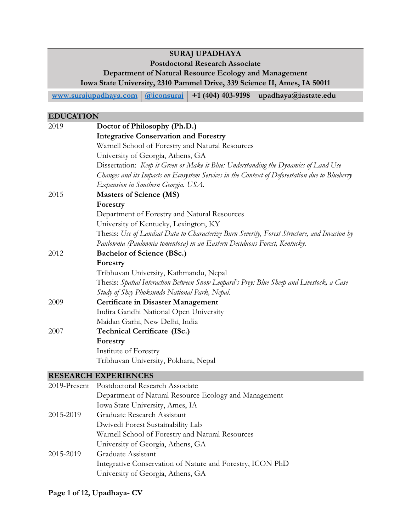## **SURAJ UPADHAYA**

#### **Postdoctoral Research Associate**

#### **Department of Natural Resource Ecology and Management**

**Iowa State University, 2310 Pammel Drive, 339 Science II, Ames, IA 50011** 

**[www.surajupadhaya.com](http://www.surajupadhaya.com/) [@iconsuraj](https://twitter.com/iconsuraj) +1 (404) 403-9198 upadhaya@iastate.edu**

#### **EDUCATION**

| 2019 | Doctor of Philosophy (Ph.D.)                                                                   |
|------|------------------------------------------------------------------------------------------------|
|      | <b>Integrative Conservation and Forestry</b>                                                   |
|      | Warnell School of Forestry and Natural Resources                                               |
|      | University of Georgia, Athens, GA                                                              |
|      | Dissertation: Keep it Green or Make it Blue: Understanding the Dynamics of Land Use            |
|      | Changes and its Impacts on Ecosystem Services in the Context of Deforestation due to Blueberry |
|      | Expansion in Southern Georgia. USA.                                                            |
| 2015 | <b>Masters of Science (MS)</b>                                                                 |
|      | Forestry                                                                                       |
|      | Department of Forestry and Natural Resources                                                   |
|      | University of Kentucky, Lexington, KY                                                          |
|      | Thesis: Use of Landsat Data to Characterize Burn Severity, Forest Structure, and Invasion by   |
|      | Paulownia (Paulownia tomentosa) in an Eastern Deciduous Forest, Kentucky.                      |
| 2012 | <b>Bachelor of Science (BSc.)</b>                                                              |
|      | Forestry                                                                                       |
|      | Tribhuvan University, Kathmandu, Nepal                                                         |
|      | Thesis: Spatial Interaction Between Snow Leopard's Prey: Blue Sheep and Livestock, a Case      |
|      | Study of Shey Phoksundo National Park, Nepal.                                                  |
| 2009 | <b>Certificate in Disaster Management</b>                                                      |
|      | Indira Gandhi National Open University                                                         |
|      | Maidan Garhi, New Delhi, India                                                                 |
| 2007 | <b>Technical Certificate (ISc.)</b>                                                            |
|      | Forestry                                                                                       |
|      | Institute of Forestry                                                                          |
|      | Tribhuvan University, Pokhara, Nepal                                                           |
|      | <b>RESEARCH EXPERIENCES</b>                                                                    |

## 2019-Present Postdoctoral Research Associate Department of Natural Resource Ecology and Management Iowa State University, Ames, IA 2015-2019 Graduate Research Assistant

Dwivedi Forest Sustainability Lab Warnell School of Forestry and Natural Resources University of Georgia, Athens, GA 2015-2019 Graduate Assistant Integrative Conservation of Nature and Forestry, ICON PhD University of Georgia, Athens, GA

#### **Page 1 of 12, Upadhaya- CV**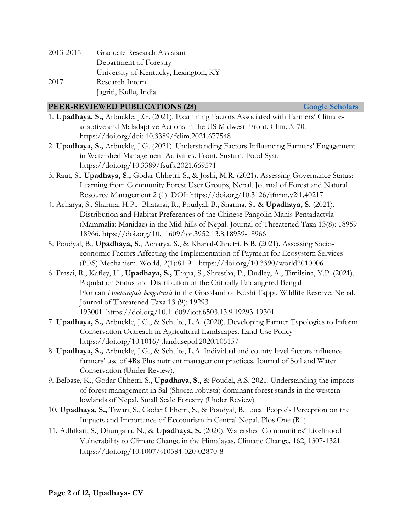| 2013-2015 | Graduate Research Assistant           |
|-----------|---------------------------------------|
|           | Department of Forestry                |
|           | University of Kentucky, Lexington, KY |
| 2017      | Research Intern                       |
|           | Jagriti, Kullu, India                 |

#### **PEER-REVIEWED PUBLICATIONS** (28) **Coogle Scholars**

- 1. **Upadhaya, S.,** Arbuckle, J.G. (2021). Examining Factors Associated with Farmers' Climateadaptive and Maladaptive Actions in the US Midwest. Front. Clim. 3, 70. [https://doi.org/doi: 10.3389/fclim.2021.677548](https://doi.org/doi:%2010.3389/fclim.2021.677548)
- 2. **Upadhaya, S.,** Arbuckle, J.G. (2021). Understanding Factors Influencing Farmers' Engagement in Watershed Management Activities. Front. Sustain. Food Syst. <https://doi.org/10.3389/fsufs.2021.669571>
- 3. Raut, S., **Upadhaya, S.,** Godar Chhetri, S., & Joshi, M.R. (2021). Assessing Governance Status: Learning from Community Forest User Groups, Nepal. Journal of Forest and Natural Resource Management 2 (1). DOI: <https://doi.org/10.3126/jfnrm.v2i1.40217>
- 4. Acharya, S., Sharma, H.P., Bhatarai, R., Poudyal, B., Sharma, S., & **Upadhaya, S.** (2021). Distribution and Habitat Preferences of the Chinese Pangolin Manis Pentadactyla (Mammalia: Manidae) in the Mid-hills of Nepal. Journal of Threatened Taxa 13(8): 18959– 18966.<htps://doi.org/10.11609/jot.3952.13.8.18959-18966>
- 5. Poudyal, B., **Upadhaya, S.**, Acharya, S., & Khanal-Chhetri, B.B. (2021). Assessing Socioeconomic Factors Affecting the Implementation of Payment for Ecosystem Services (PES) Mechanism. World, 2(1):81-91.<https://doi.org/10.3390/world2010006>
- 6. Prasai, R., Kafley, H., **Upadhaya, S.,** Thapa, S., Shrestha, P., Dudley, A., Timilsina, Y.P. (2021). Population Status and Distribution of the Critically Endangered Bengal Florican *Houbaropsis bengalensis* in the Grassland of Koshi Tappu Wildlife Reserve, Nepal. Journal of Threatened Taxa 13 (9): 19293- 193001. <https://doi.org/10.11609/jott.6503.13.9.19293-19301>
- 7. **Upadhaya, S.,** Arbuckle, J.G., & Schulte, L.A. (2020). Developing Farmer Typologies to Inform Conservation Outreach in Agricultural Landscapes. Land Use Policy <https://doi.org/10.1016/j.landusepol.2020.105157>
- 8. **Upadhaya, S.,** Arbuckle, J.G., & Schulte, L.A. Individual and county-level factors influence farmers' use of 4Rs Plus nutrient management practices. Journal of Soil and Water Conservation (Under Review).
- 9. Belbase, K., Godar Chhetri, S., **Upadhaya, S.,** & Poudel, A.S. 2021. Understanding the impacts of forest management in Sal (Shorea robusta) dominant forest stands in the western lowlands of Nepal. Small Scale Forestry (Under Review)
- 10. **Upadhaya, S.,** Tiwari, S., Godar Chhetri, S., & Poudyal, B. Local People's Perception on the Impacts and Importance of Ecotourism in Central Nepal. Plos One (R1)
- 11. Adhikari, S., Dhungana, N., & **Upadhaya, S.** (2020). Watershed Communities' Livelihood Vulnerability to Climate Change in the Himalayas. Climatic Change. 162, 1307-1321 <https://doi.org/10.1007/s10584-020-02870-8>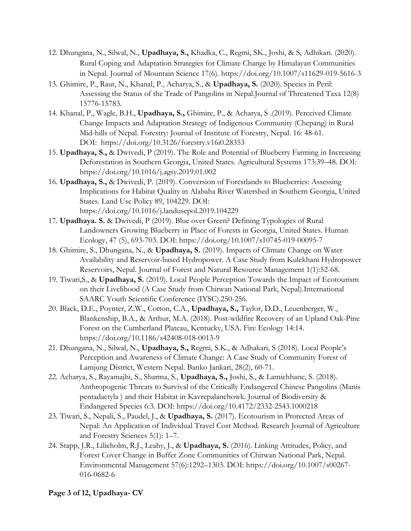- 12. Dhungana, N., Silwal, N., **Upadhaya, S.,** Khadka, C., Regmi, SK., Joshi, & S, Adhikari. (2020). Rural Coping and Adaptation Strategies for Climate Change by Himalayan Communities in Nepal. Journal of Mountain Science 17(6).<https://doi.org/10.1007/s11629-019-5616-3>
- 13. Ghimire, P., Raut, N., Khanal, P., Acharya, S., & **Upadhaya, S.** (2020). Species in Peril: Assessing the Status of the Trade of Pangolins in Nepal.Journal of Threatened Taxa 12(8) 15776-15783.
- 14. Khanal, P., Wagle, B.H., **Upadhaya, S.,** Ghimire, P., & Acharya, S .(2019). Perceived Climate Change Impacts and Adaptation Strategy of Indigenous Community (Chepang) in Rural Mid-hills of Nepal. Forestry: Journal of Institute of Forestry, Nepal. 16: 48-61. DOI: <https://doi.org/10.3126/forestry.v16i0.28353>
- 15. **Upadhaya, S.,** & Dwivedi, P (2019). The Role and Potential of Blueberry Farming in Increasing Deforestation in Southern Georgia, United States. Agricultural Systems 173:39–48. DOI: <https://doi.org/10.1016/j.agsy.2019.01.002>
- 16. **Upadhaya, S.,** & Dwivedi, P. (2019). Conversion of Forestlands to Blueberries: Assessing Implications for Habitat Quality in Alabaha River Watershed in Southern Georgia, United States. Land Use Policy 89, 104229. DOI: <https://doi.org/10.1016/j.landusepol.2019.104229>
- 17. **Upadhaya. S.** & Dwivedi, P (2019). Blue over Green? Defining Typologies of Rural Landowners Growing Blueberry in Place of Forests in Georgia, United States. Human Ecology, 47 (5), 693-703. DOI:<https://doi.org/10.1007/s10745-019-00095-7>
- 18. Ghimire, S., Dhungana, N., & **Upadhaya, S.** (2019). Impacts of Climate Change on Water Availability and Reservoir-based Hydropower. A Case Study from Kulekhani Hydropower Reservoirs, Nepal. Journal of Forest and Natural Resource Management 1(1):52-68.
- 19. Tiwari,S., & **Upadhaya, S.** (2019). Local People Perception Towards the Impact of Ecotourism on their Livelihood (A Case Study from Chitwan National Park, Nepal).International SAARC Youth Scientific Conference (IYSC).250-256.
- 20. Black, D.E., Poynter, Z.W., Cotton, C.A., **Upadhaya, S.,** Taylor, D.D., Leuenberger, W., Blankenship, B.A., & Arthur, M.A. (2018). Post-wildfire Recovery of an Upland Oak-Pine Forest on the Cumberland Plateau, Kentucky, USA. Fire Ecology 14:14. <https://doi.org/10.1186/s42408-018-0013-9>
- 21. Dhungana, N., Silwal, N., **Upadhaya, S.,** Regmi, S.K., & Adhakari, S (2018). Local People's Perception and Awareness of Climate Change: A Case Study of Community Forest of Lamjung District, Western Nepal. Banko Jankari, 28(2), 60-71.
- 22. Acharya, S., Rayamajhi, S., Sharma, S., **Upadhaya, S.,** Joshi, S., & Lamichhane, S. (2018). Anthropogenic Threats to Survival of the Critically Endangered Chinese Pangolins (Manis pentadactyla ) and their Habitat in Kavrepalanchowk. Journal of Biodiversity & Endangered Species 6:3. DOI:<https://doi.org/10.4172/2332-2543.1000218>
- 23. Tiwari, S., Nepali, S., Paudel, J., & **Upadhaya, S.** (2017). Ecotourism in Protected Areas of Nepal: An Application of Individual Travel Cost Method. Research Journal of Agriculture and Forestry Sciences 5(1): 1–7.
- 24. Stapp, J.R., Lilieholm, R.J., Leahy, J., & **Upadhaya, S.** (2016). Linking Attitudes, Policy, and Forest Cover Change in Buffer Zone Communities of Chitwan National Park, Nepal. Environmental Management 57(6):1292–1303. DOI: [https://doi.org/10.1007/s00267-](https://doi.org/10.1007/s00267-016-0682-6) [016-0682-6](https://doi.org/10.1007/s00267-016-0682-6)

#### **Page 3 of 12, Upadhaya- CV**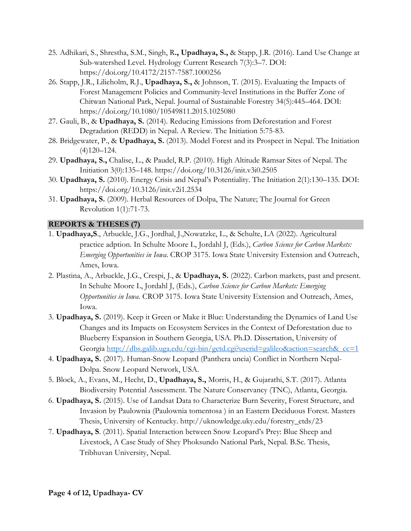- 25. Adhikari, S., Shrestha, S.M., Singh, R**., Upadhaya, S.,** & Stapp, J.R. (2016). Land Use Change at Sub-watershed Level. Hydrology Current Research 7(3):3–7. DOI: https://doi.org/10.4172/2157-7587.1000256
- 26. Stapp, J.R., Lilieholm, R.J., **Upadhaya, S.,** & Johnson, T. (2015). Evaluating the Impacts of Forest Management Policies and Community-level Institutions in the Buffer Zone of Chitwan National Park, Nepal. Journal of Sustainable Forestry 34(5):445–464. DOI: <https://doi.org/10.1080/10549811.2015.1025080>
- 27. Gauli, B., & **Upadhaya, S.** (2014). Reducing Emissions from Deforestation and Forest Degradation (REDD) in Nepal. A Review. The Initiation 5:75-83.
- 28. Bridgewater, P., & **Upadhaya, S.** (2013). Model Forest and its Prospect in Nepal. The Initiation (4)120–124.
- 29. **Upadhaya, S.,** Chalise, L., & Paudel, R.P. (2010). High Altitude Ramsar Sites of Nepal. The Initiation 3(0):135–148. https://doi.org/10.3126/init.v3i0.2505
- 30. **Upadhaya, S.** (2010). Energy Crisis and Nepal's Potentiality. The Initiation 2(1):130–135. DOI: https://doi.org/10.3126/init.v2i1.2534
- 31. **Upadhaya, S.** (2009). Herbal Resources of Dolpa, The Nature; The Journal for Green Revolution 1(1):71-73.

## **REPORTS & THESES (7)**

- 1. **Upadhaya,S**., Arbuckle, J.G., Jordhal, J.,Nowatzke, L., & Schulte, LA (2022). Agricultural practice adption. In Schulte Moore L, Jordahl J, (Eds.), *Carbon Science for Carbon Markets: Emerging Opportunities in Iowa*. CROP 3175. Iowa State University Extension and Outreach, Ames, Iowa.
- 2. Plastina, A., Arbuckle, J.G., Crespi, J., & **Upadhaya, S.** (2022). Carbon markets, past and present. In Schulte Moore L, Jordahl J, (Eds.), *Carbon Science for Carbon Markets: Emerging Opportunities in Iowa*. CROP 3175. Iowa State University Extension and Outreach, Ames, Iowa.
- 3. **Upadhaya, S.** (2019). Keep it Green or Make it Blue: Understanding the Dynamics of Land Use Changes and its Impacts on Ecosystem Services in the Context of Deforestation due to Blueberry Expansion in Southern Georgia, USA. Ph.D. Dissertation, University of Georgia http://dbs.galib.uga.edu/cgi-bin/getd.cgi?userid=galileo&action=search& $cc=1$
- 4. **Upadhaya, S.** (2017). Human-Snow Leopard (Panthera uncia) Conflict in Northern Nepal-Dolpa. Snow Leopard Network, USA.
- 5. Block, A., Evans, M., Hecht, D., **Upadhaya, S.,** Morris, H., & Gujarathi, S.T. (2017). Atlanta Biodiversity Potential Assessment. The Nature Conservancy (TNC), Atlanta, Georgia.
- 6. **Upadhaya, S.** (2015). Use of Landsat Data to Characterize Burn Severity, Forest Structure, and Invasion by Paulownia (Paulownia tomentosa ) in an Eastern Deciduous Forest. Masters Thesis, University of Kentucky. http://uknowledge.uky.edu/forestry\_etds/23
- 7. **Upadhaya, S**. (2011). Spatial Interaction between Snow Leopard's Prey: Blue Sheep and Livestock, A Case Study of Shey Phoksundo National Park, Nepal. B.Sc. Thesis, Tribhuvan University, Nepal.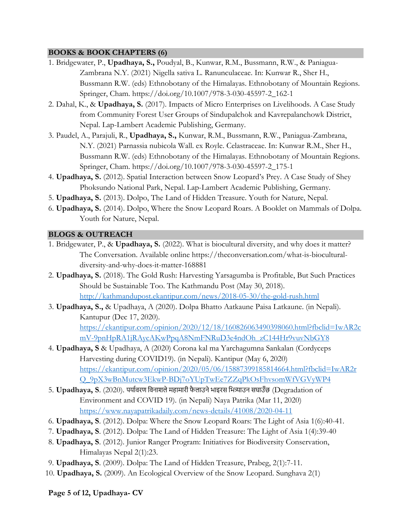#### **BOOKS & BOOK CHAPTERS (6)**

- 1. Bridgewater, P., **Upadhaya, S.,** Poudyal, B., Kunwar, R.M., Bussmann, R.W., & Paniagua-Zambrana N.Y. (2021) Nigella sativa L. Ranunculaceae. In: Kunwar R., Sher H., Bussmann R.W. (eds) Ethnobotany of the Himalayas. Ethnobotany of Mountain Regions. Springer, Cham. https://doi.org/10.1007/978-3-030-45597-2\_162-1
- 2. Dahal, K., & **Upadhaya, S.** (2017). Impacts of Micro Enterprises on Livelihoods. A Case Study from Community Forest User Groups of Sindupalchok and Kavrepalanchowk District, Nepal. Lap-Lambert Academic Publishing, Germany.
- 3. Paudel, A., Parajuli, R., **Upadhaya, S.,** Kunwar, R.M., Bussmann, R.W., Paniagua-Zambrana, N.Y. (2021) Parnassia nubicola Wall. ex Royle. Celastraceae. In: Kunwar R.M., Sher H., Bussmann R.W. (eds) Ethnobotany of the Himalayas. Ethnobotany of Mountain Regions. Springer, Cham. [https://doi.org/10.1007/978-3-030-45597-2\\_175-1](https://doi.org/10.1007/978-3-030-45597-2_175-1)
- 4. **Upadhaya, S.** (2012). Spatial Interaction between Snow Leopard's Prey. A Case Study of Shey Phoksundo National Park, Nepal. Lap-Lambert Academic Publishing, Germany.
- 5. **Upadhaya, S.** (2013). Dolpo, The Land of Hidden Treasure. Youth for Nature, Nepal.
- 6. **Upadhaya, S.** (2014). Dolpo, Where the Snow Leopard Roars. A Booklet on Mammals of Dolpa. Youth for Nature, Nepal.

#### **BLOGS & OUTREACH**

- 1. Bridgewater, P., & **Upadhaya, S.** (2022). What is biocultural diversity, and why does it matter? The Conversation. Available online https://theconversation.com/what-is-bioculturaldiversity-and-why-does-it-matter-168881
- 2. **Upadhaya, S.** (2018). The Gold Rush: Harvesting Yarsagumba is Profitable, But Such Practices Should be Sustainable Too. The Kathmandu Post (May 30, 2018). <http://kathmandupost.ekantipur.com/news/2018-05-30/the-gold-rush.html>
- 3. **Upadhaya, S.,** & Upadhaya, A (2020). Dolpa Bhatto Aatkaune Paisa Latkaune. (in Nepali). Kantupur (Dec 17, 2020). [https://ekantipur.com/opinion/2020/12/18/160826063490398060.html?fbclid=IwAR2c](https://ekantipur.com/opinion/2020/12/18/160826063490398060.html?fbclid=IwAR2cmV-9pnHpRA1jRAycAKwPpqA8NmFNRuD3e4ndOh_zC144Hr9vuvNbGY8) [mV-9pnHpRA1jRAycAKwPpqA8NmFNRuD3e4ndOh\\_zC144Hr9vuvNbGY8](https://ekantipur.com/opinion/2020/12/18/160826063490398060.html?fbclid=IwAR2cmV-9pnHpRA1jRAycAKwPpqA8NmFNRuD3e4ndOh_zC144Hr9vuvNbGY8)
- 4. **Upadhaya, S** & Upadhaya, A (2020) Corona kal ma Yarchagumna Sankalan (Cordyceps Harvesting during COVID19). (in Nepali). Kantipur (May 6, 2020) [https://ekantipur.com/opinion/2020/05/06/15887399185814664.html?fbclid=IwAR2r](https://ekantipur.com/opinion/2020/05/06/15887399185814664.html?fbclid=IwAR2rQ_9pX3wBnMutcw3EkwP-BDj7oYUpTwEe7ZZqPkOsFhvsomWfVGVyWP4) [Q\\_9pX3wBnMutcw3EkwP-BDj7oYUpTwEe7ZZqPkOsFhvsomWfVGVyWP4](https://ekantipur.com/opinion/2020/05/06/15887399185814664.html?fbclid=IwAR2rQ_9pX3wBnMutcw3EkwP-BDj7oYUpTwEe7ZZqPkOsFhvsomWfVGVyWP4)
- 5. **Upadhaya, S**. (2020). पया�वरण िवनाशलेमहामारी फै लाउनेभाइरस िभ�ाउन सघाउँछ (Degradation of Environment and COVID 19). (in Nepali) Naya Patrika (Mar 11, 2020) <https://www.nayapatrikadaily.com/news-details/41008/2020-04-11>
- 6. **Upadhaya, S**. (2012). Dolpa: Where the Snow Leopard Roars: The Light of Asia 1(6):40-41.
- 7. **Upadhaya, S**. (2012). Dolpa: The Land of Hidden Treasure: The Light of Asia 1(4):39-40
- 8. **Upadhaya, S**. (2012). Junior Ranger Program: Initiatives for Biodiversity Conservation, Himalayas Nepal 2(1):23.
- 9. **Upadhaya, S**. (2009). Dolpa: The Land of Hidden Treasure, Prabeg, 2(1):7-11.
- 10. **Upadhaya, S.** (2009). An Ecological Overview of the Snow Leopard. Sunghava 2(1)

**Page 5 of 12, Upadhaya- CV**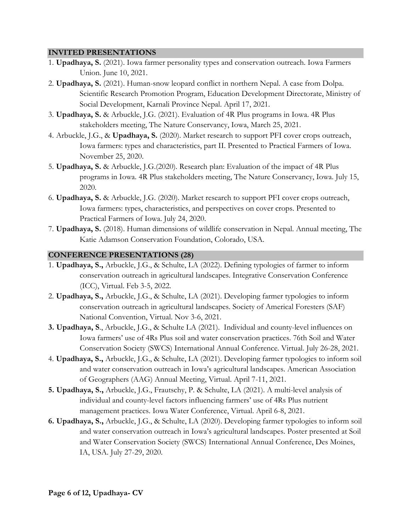#### **INVITED PRESENTATIONS**

- 1. **Upadhaya, S.** (2021). Iowa farmer personality types and conservation outreach. Iowa Farmers Union. June 10, 2021.
- 2. **Upadhaya, S.** (2021). Human-snow leopard conflict in northern Nepal. A case from Dolpa. Scientific Research Promotion Program, Education Development Directorate, Ministry of Social Development, Karnali Province Nepal. April 17, 2021.
- 3. **Upadhaya, S.** & Arbuckle, J.G. (2021). Evaluation of 4R Plus programs in Iowa. 4R Plus stakeholders meeting, The Nature Conservancy, Iowa, March 25, 2021.
- 4. Arbuckle, J.G., & **Upadhaya, S.** (2020). Market research to support PFI cover crops outreach, Iowa farmers: types and characteristics, part II. Presented to Practical Farmers of Iowa. November 25, 2020.
- 5. **Upadhaya, S.** & Arbuckle, J.G.(2020). Research plan: Evaluation of the impact of 4R Plus programs in Iowa. 4R Plus stakeholders meeting, The Nature Conservancy, Iowa. July 15, 2020.
- 6. **Upadhaya, S.** & Arbuckle, J.G. (2020). Market research to support PFI cover crops outreach, Iowa farmers: types, characteristics, and perspectives on cover crops. Presented to Practical Farmers of Iowa. July 24, 2020.
- 7. **Upadhaya, S.** (2018). Human dimensions of wildlife conservation in Nepal. Annual meeting, The Katie Adamson Conservation Foundation, Colorado, USA.

#### **CONFERENCE PRESENTATIONS (28)**

- 1. **Upadhaya, S.,** Arbuckle, J.G., & Schulte, LA (2022). Defining typologies of farmer to inform conservation outreach in agricultural landscapes. Integrative Conservation Conference (ICC), Virtual. Feb 3-5, 2022.
- 2. **Upadhaya, S.,** Arbuckle, J.G., & Schulte, LA (2021). Developing farmer typologies to inform conservation outreach in agricultural landscapes. Society of Americal Foresters (SAF) National Convention, Virtual. Nov 3-6, 2021.
- **3. Upadhaya, S**., Arbuckle, J.G., & Schulte LA (2021). Individual and county-level influences on Iowa farmers' use of 4Rs Plus soil and water conservation practices. 76th Soil and Water Conservation Society (SWCS) International Annual Conference. Virtual. July 26-28, 2021.
- 4. **Upadhaya, S.,** Arbuckle, J.G., & Schulte, LA (2021). Developing farmer typologies to inform soil and water conservation outreach in Iowa's agricultural landscapes. American Association of Geographers (AAG) Annual Meeting, Virtual. April 7-11, 2021.
- **5. Upadhaya, S.,** Arbuckle, J.G., Frautschy, P. & Schulte, LA (2021). A multi-level analysis of individual and county-level factors influencing farmers' use of 4Rs Plus nutrient management practices. Iowa Water Conference, Virtual. April 6-8, 2021.
- **6. Upadhaya, S.,** Arbuckle, J.G., & Schulte, LA (2020). Developing farmer typologies to inform soil and water conservation outreach in Iowa's agricultural landscapes. Poster presented at Soil and Water Conservation Society (SWCS) International Annual Conference, Des Moines, IA, USA. July 27-29, 2020.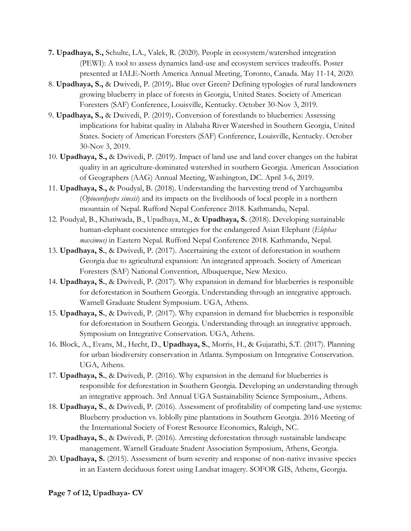- **7. Upadhaya, S.,** Schulte, LA., Valek, R. (2020). People in ecosystem/watershed integration (PEWI): A tool to assess dynamics land-use and ecosystem services tradeoffs. Poster presented at IALE-North America Annual Meeting, Toronto, Canada. May 11-14, 2020.
- 8. **Upadhaya, S.,** & Dwivedi, P. (2019)**.** Blue over Green? Defining typologies of rural landowners growing blueberry in place of forests in Georgia, United States. Society of American Foresters (SAF) Conference, Louisville, Kentucky. October 30-Nov 3, 2019.
- 9. **Upadhaya, S.,** & Dwivedi, P. (2019)**.** Conversion of forestlands to blueberries: Assessing implications for habitat quality in Alabaha River Watershed in Southern Georgia, United States. Society of American Foresters (SAF) Conference, Louisville, Kentucky. October 30-Nov 3, 2019.
- 10. **Upadhaya, S.,** & Dwivedi, P. (2019). Impact of land use and land cover changes on the habitat quality in an agriculture-dominated watershed in southern Georgia. American Association of Geographers (AAG) Annual Meeting, Washington, DC. April 3-6, 2019.
- 11. **Upadhaya, S.,** & Poudyal, B. (2018). Understanding the harvesting trend of Yarchagumba (*Opiocordyceps sinesis*) and its impacts on the livelihoods of local people in a northern mountain of Nepal. Rufford Nepal Conference 2018. Kathmandu, Nepal.
- 12. Poudyal, B., Khatiwada, B., Upadhaya, M., & **Upadhaya, S.** (2018). Developing sustainable human-elephant coexistence strategies for the endangered Asian Elephant (*Elephas maximus)* in Eastern Nepal. Rufford Nepal Conference 2018. Kathmandu, Nepal.
- 13. **Upadhaya, S.**, & Dwivedi, P. (2017). Ascertaining the extent of deforestation in southern Georgia due to agricultural expansion: An integrated approach. Society of American Foresters (SAF) National Convention, Albuquerque, New Mexico.
- 14. **Upadhaya, S.**, & Dwivedi, P. (2017). Why expansion in demand for blueberries is responsible for deforestation in Southern Georgia. Understanding through an integrative approach. Warnell Graduate Student Symposium. UGA, Athens.
- 15. **Upadhaya, S.**, & Dwivedi, P. (2017). Why expansion in demand for blueberries is responsible for deforestation in Southern Georgia. Understanding through an integrative approach. Symposium on Integrative Conservation. UGA, Athens.
- 16. Block, A., Evans, M., Hecht, D., **Upadhaya, S.**, Morris, H., & Gujarathi, S.T. (2017). Planning for urban biodiversity conservation in Atlanta. Symposium on Integrative Conservation. UGA, Athens.
- 17. **Upadhaya, S.**, & Dwivedi, P. (2016). Why expansion in the demand for blueberries is responsible for deforestation in Southern Georgia. Developing an understanding through an integrative approach. 3rd Annual UGA Sustainability Science Symposium., Athens.
- 18. **Upadhaya, S.**, & Dwivedi, P. (2016). Assessment of profitability of competing land-use systems: Blueberry production vs. loblolly pine plantations in Southern Georgia. 2016 Meeting of the International Society of Forest Resource Economics, Raleigh, NC.
- 19. **Upadhaya, S.**, & Dwivedi, P. (2016). Arresting deforestation through sustainable landscape management. Warnell Graduate Student Association Symposium, Athens, Georgia.
- 20. **Upadhaya, S.** (2015). Assessment of burn severity and response of non-native invasive species in an Eastern deciduous forest using Landsat imagery. SOFOR GIS, Athens, Georgia.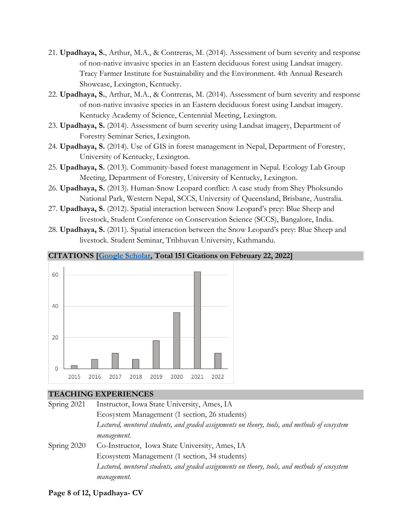- 21. **Upadhaya, S.**, Arthur, M.A., & Contreras, M. (2014). Assessment of burn severity and response of non-native invasive species in an Eastern deciduous forest using Landsat imagery. Tracy Farmer Institute for Sustainability and the Environment. 4th Annual Research Showcase, Lexington, Kentucky.
- 22. **Upadhaya, S.**, Arthur, M.A., & Contreras, M. (2014). Assessment of burn severity and response of non-native invasive species in an Eastern deciduous forest using Landsat imagery. Kentucky Academy of Science, Centennial Meeting, Lexington.
- 23. **Upadhaya, S.** (2014). Assessment of burn severity using Landsat imagery, Department of Forestry Seminar Series, Lexington.
- 24. **Upadhaya, S.** (2014). Use of GIS in forest management in Nepal, Department of Forestry, University of Kentucky, Lexington.
- 25. **Upadhaya, S.** (2013). Community-based forest management in Nepal. Ecology Lab Group Meeting, Department of Forestry, University of Kentucky, Lexington.
- 26. **Upadhaya, S.** (2013). Human-Snow Leopard conflict: A case study from Shey Phoksundo National Park, Western Nepal, SCCS, University of Queensland, Brisbane, Australia.
- 27. **Upadhaya, S.** (2012). Spatial interaction between Snow Leopard's prey: Blue Sheep and livestock, Student Conference on Conservation Science (SCCS), Bangalore, India.
- 28. **Upadhaya, S.** (2011). Spatial interaction between the Snow Leopard's prey: Blue Sheep and livestock. Student Seminar, Tribhuvan University, Kathmandu.

**CITATIONS [\[Google Scholar,](https://scholar.google.com/citations?user=4O6fXUEAAAAJ&hl=en) Total 151 Citations on February 22, 2022]**



#### **TEACHING EXPERIENCES**

| Spring 2021 | Instructor, Iowa State University, Ames, IA                                                    |
|-------------|------------------------------------------------------------------------------------------------|
|             | Ecosystem Management (1 section, 26 students)                                                  |
|             | Lectured, mentored students, and graded assignments on theory, tools, and methods of ecosystem |
|             | management.                                                                                    |
| Spring 2020 | Co-Instructor, Iowa State University, Ames, IA                                                 |
|             | Ecosystem Management (1 section, 34 students)                                                  |
|             | Lectured, mentored students, and graded assignments on theory, tools, and methods of ecosystem |
|             | management.                                                                                    |

#### **Page 8 of 12, Upadhaya- CV**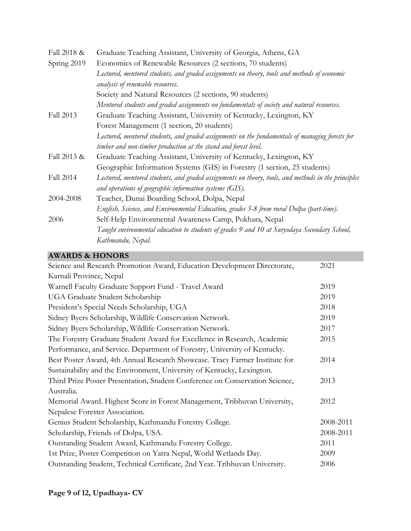| Fall 2018 & | Graduate Teaching Assistant, University of Georgia, Athens, GA                                      |  |
|-------------|-----------------------------------------------------------------------------------------------------|--|
| Spring 2019 | Economics of Renewable Resources (2 sections, 70 students)                                          |  |
|             | Lectured, mentored students, and graded assignments on theory, tools and methods of economic        |  |
|             | analysis of renewable resources.                                                                    |  |
|             | Society and Natural Resources (2 sections, 90 students)                                             |  |
|             | Mentored students and graded assignments on fundamentals of society and natural resources.          |  |
| Fall 2013   | Graduate Teaching Assistant, University of Kentucky, Lexington, KY                                  |  |
|             | Forest Management (1 section, 20 students)                                                          |  |
|             | Lectured, mentored students, and graded assignments on the fundamentals of managing forests for     |  |
|             | timber and non-timber production at the stand and forest level.                                     |  |
| Fall 2013 & | Graduate Teaching Assistant, University of Kentucky, Lexington, KY                                  |  |
|             | Geographic Information Systems (GIS) in Forestry (1 section, 25 students)                           |  |
| Fall 2014   | Lectured, mentored students, and graded assignments on theory, tools, and methods in the principles |  |
|             | and operations of geographic information systems (GIS).                                             |  |
| 2004-2008   | Teacher, Dunai Boarding School, Dolpa, Nepal                                                        |  |
|             | English, Science, and Environmental Education, grades 5-8 from rural Dolpa (part-time).             |  |
| 2006        | Self-Help Environmental Awareness Camp, Pokhara, Nepal                                              |  |
|             | Taught environmental education to students of grades 9 and 10 at Suryodaya Secondary School,        |  |
|             | Kathmandu, Nepal.                                                                                   |  |

## **AWARDS & HONORS**

| Science and Research Promotion Award, Education Development Directorate,     | 2021      |
|------------------------------------------------------------------------------|-----------|
| Karnali Province, Nepal                                                      |           |
| Warnell Faculty Graduate Support Fund - Travel Award                         | 2019      |
| <b>UGA Graduate Student Scholarship</b>                                      | 2019      |
| President's Special Needs Scholarship, UGA                                   | 2018      |
| Sidney Byers Scholarship, Wildlife Conservation Network.                     | 2019      |
| Sidney Byers Scholarship, Wildlife Conservation Network.                     | 2017      |
| The Forestry Graduate Student Award for Excellence in Research, Academic     | 2015      |
| Performance, and Service. Department of Forestry, University of Kentucky.    |           |
| Best Poster Award, 4th Annual Research Showcase. Tracy Farmer Institute for  | 2014      |
| Sustainability and the Environment, University of Kentucky, Lexington.       |           |
| Third Prize Poster Presentation, Student Conference on Conservation Science, | 2013      |
| Australia.                                                                   |           |
| Memorial Award. Highest Score in Forest Management, Tribhuvan University,    | 2012      |
| Nepalese Forester Association.                                               |           |
| Genius Student Scholarship, Kathmandu Forestry College.                      | 2008-2011 |
| Scholarship, Friends of Dolpa, USA.                                          | 2008-2011 |
| Outstanding Student Award, Kathmandu Forestry College.                       | 2011      |
| 1st Prize, Poster Competition on Yatra Nepal, World Wetlands Day.            | 2009      |
| Outstanding Student, Technical Certificate, 2nd Year. Tribhuvan University.  | 2006      |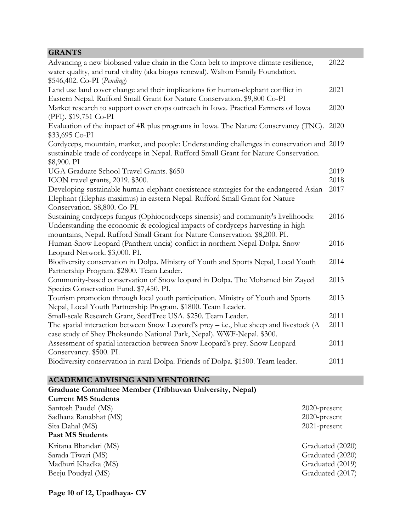| <b>GRANTS</b>                                                                                                                                                                                           |      |
|---------------------------------------------------------------------------------------------------------------------------------------------------------------------------------------------------------|------|
| Advancing a new biobased value chain in the Corn belt to improve climate resilience,<br>water quality, and rural vitality (aka biogas renewal). Walton Family Foundation.<br>\$546,402. Co-PI (Pending) | 2022 |
|                                                                                                                                                                                                         |      |
| Land use land cover change and their implications for human-elephant conflict in                                                                                                                        | 2021 |
| Eastern Nepal. Rufford Small Grant for Nature Conservation. \$9,800 Co-PI                                                                                                                               |      |
| Market research to support cover crops outreach in Iowa. Practical Farmers of Iowa<br>(PFI). \$19,751 Co-PI                                                                                             | 2020 |
| Evaluation of the impact of 4R plus programs in Iowa. The Nature Conservancy (TNC).                                                                                                                     | 2020 |
| \$33,695 Co-PI                                                                                                                                                                                          |      |
| Cordyceps, mountain, market, and people: Understanding challenges in conservation and 2019<br>sustainable trade of cordyceps in Nepal. Rufford Small Grant for Nature Conservation.                     |      |
| \$8,900. PI                                                                                                                                                                                             |      |
| UGA Graduate School Travel Grants. \$650                                                                                                                                                                | 2019 |
| ICON travel grants, 2019. \$300.                                                                                                                                                                        | 2018 |
| Developing sustainable human-elephant coexistence strategies for the endangered Asian                                                                                                                   | 2017 |
| Elephant (Elephas maximus) in eastern Nepal. Rufford Small Grant for Nature                                                                                                                             |      |
| Conservation. \$8,800. Co-PI.                                                                                                                                                                           |      |
| Sustaining cordyceps fungus (Ophiocordyceps sinensis) and community's livelihoods:                                                                                                                      | 2016 |
| Understanding the economic & ecological impacts of cordyceps harvesting in high                                                                                                                         |      |
| mountains, Nepal. Rufford Small Grant for Nature Conservation. \$8,200. PI.                                                                                                                             |      |
| Human-Snow Leopard (Panthera uncia) conflict in northern Nepal-Dolpa. Snow                                                                                                                              | 2016 |
| Leopard Network. \$3,000. PI.                                                                                                                                                                           |      |
| Biodiversity conservation in Dolpa. Ministry of Youth and Sports Nepal, Local Youth                                                                                                                     | 2014 |
| Partnership Program. \$2800. Team Leader.                                                                                                                                                               |      |
| Community-based conservation of Snow leopard in Dolpa. The Mohamed bin Zayed                                                                                                                            | 2013 |
| Species Conservation Fund. \$7,450. PI.                                                                                                                                                                 |      |
| Tourism promotion through local youth participation. Ministry of Youth and Sports                                                                                                                       | 2013 |
| Nepal, Local Youth Partnership Program. \$1800. Team Leader.                                                                                                                                            |      |
| Small-scale Research Grant, SeedTree USA. \$250. Team Leader.                                                                                                                                           | 2011 |
| The spatial interaction between Snow Leopard's prey – i.e., blue sheep and livestock (A                                                                                                                 | 2011 |
| case study of Shey Phoksundo National Park, Nepal). WWF-Nepal. \$300.                                                                                                                                   |      |
| Assessment of spatial interaction between Snow Leopard's prey. Snow Leopard                                                                                                                             | 2011 |
| Conservancy. \$500. PI.                                                                                                                                                                                 |      |
| Biodiversity conservation in rural Dolpa. Friends of Dolpa. \$1500. Team leader.                                                                                                                        | 2011 |
|                                                                                                                                                                                                         |      |

# **ACADEMIC ADVISING AND MENTORING**

| Graduate Committee Member (Tribhuvan University, Nepal) |                  |
|---------------------------------------------------------|------------------|
| <b>Current MS Students</b>                              |                  |
| Santosh Paudel (MS)                                     | $2020$ -present  |
| Sadhana Ranabhat (MS)                                   | $2020$ -present  |
| Sita Dahal (MS)                                         | $2021$ -present  |
| <b>Past MS Students</b>                                 |                  |
| Kritana Bhandari (MS)                                   | Graduated (2020) |
| Sarada Tiwari (MS)                                      | Graduated (2020) |
| Madhuri Khadka (MS)                                     | Graduated (2019) |
| Beeju Poudyal (MS)                                      | Graduated (2017) |
|                                                         |                  |

**Page 10 of 12, Upadhaya- CV**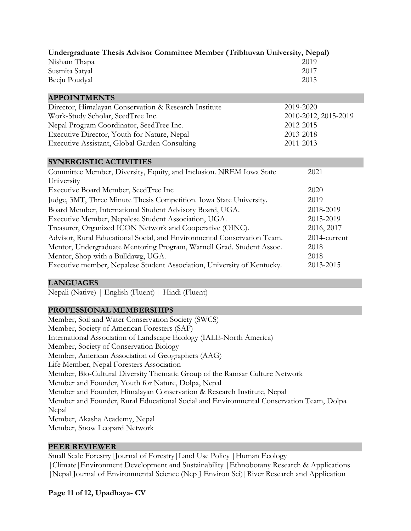| Undergraduate Thesis Advisor Committee Member (Tribhuvan University, Nepal)       |                      |  |  |  |
|-----------------------------------------------------------------------------------|----------------------|--|--|--|
| Nisham Thapa                                                                      | 2019                 |  |  |  |
| Susmita Satyal                                                                    | 2017                 |  |  |  |
| Beeju Poudyal                                                                     | 2015                 |  |  |  |
| <b>APPOINTMENTS</b>                                                               |                      |  |  |  |
| Director, Himalayan Conservation & Research Institute                             | 2019-2020            |  |  |  |
| Work-Study Scholar, SeedTree Inc.                                                 | 2010-2012, 2015-2019 |  |  |  |
| Nepal Program Coordinator, SeedTree Inc.                                          | 2012-2015            |  |  |  |
| Executive Director, Youth for Nature, Nepal                                       | 2013-2018            |  |  |  |
| <b>Executive Assistant, Global Garden Consulting</b>                              | 2011-2013            |  |  |  |
| <b>SYNERGISTIC ACTIVITIES</b>                                                     |                      |  |  |  |
| Committee Member, Diversity, Equity, and Inclusion. NREM Iowa State<br>University | 2021                 |  |  |  |
| Executive Board Member, SeedTree Inc                                              | 2020                 |  |  |  |
| Judge, 3MT, Three Minute Thesis Competition. Iowa State University.               | 2019                 |  |  |  |
| Board Member, International Student Advisory Board, UGA.                          | 2018-2019            |  |  |  |
| Executive Member, Nepalese Student Association, UGA.                              | 2015-2019            |  |  |  |
| Treasurer, Organized ICON Network and Cooperative (OINC).                         | 2016, 2017           |  |  |  |
| Advisor, Rural Educational Social, and Environmental Conservation Team.           | 2014-current         |  |  |  |
| Mentor, Undergraduate Mentoring Program, Warnell Grad. Student Assoc.             | 2018                 |  |  |  |
| Mentor, Shop with a Bulldawg, UGA.                                                | 2018                 |  |  |  |
| Executive member, Nepalese Student Association, University of Kentucky.           | 2013-2015            |  |  |  |

#### **LANGUAGES**

Nepali (Native) | English (Fluent) | Hindi (Fluent)

### **PROFESSIONAL MEMBERSHIPS**

Member, Soil and Water Conservation Society (SWCS) Member, Society of American Foresters (SAF) International Association of Landscape Ecology (IALE-North America) Member, Society of Conservation Biology Member, American Association of Geographers (AAG) Life Member, Nepal Foresters Association Member, Bio-Cultural Diversity Thematic Group of the Ramsar Culture Network Member and Founder, Youth for Nature, Dolpa, Nepal Member and Founder, Himalayan Conservation & Research Institute, Nepal Member and Founder, Rural Educational Social and Environmental Conservation Team, Dolpa Nepal Member, Akasha Academy, Nepal Member, Snow Leopard Network

#### **PEER REVIEWER**

Small Scale Forestry|Journal of Forestry|Land Use Policy |Human Ecology |Climate|Environment Development and Sustainability |Ethnobotany Research & Applications |Nepal Journal of Environmental Science (Nep J Environ Sci)|River Research and Application